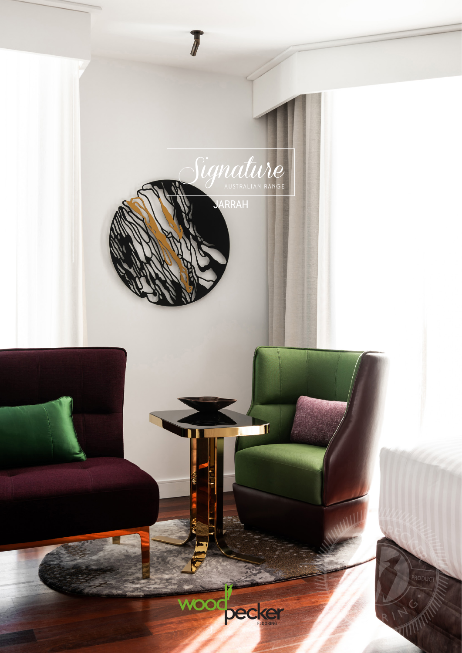